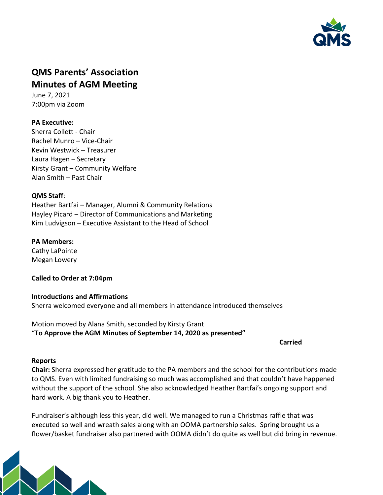

# **QMS Parents' Association Minutes of AGM Meeting**

June 7, 2021 7:00pm via Zoom

# **PA Executive:**

Sherra Collett - Chair Rachel Munro – Vice-Chair Kevin Westwick – Treasurer Laura Hagen – Secretary Kirsty Grant – Community Welfare Alan Smith – Past Chair

## **QMS Staff**:

Heather Bartfai – Manager, Alumni & Community Relations Hayley Picard – Director of Communications and Marketing Kim Ludvigson – Executive Assistant to the Head of School

## **PA Members:**

Cathy LaPointe Megan Lowery

**Called to Order at 7:04pm**

**Introductions and Affirmations** Sherra welcomed everyone and all members in attendance introduced themselves

Motion moved by Alana Smith, seconded by Kirsty Grant "**To Approve the AGM Minutes of September 14, 2020 as presented"**

## **Carried**

## **Reports**

**Chair:** Sherra expressed her gratitude to the PA members and the school for the contributions made to QMS. Even with limited fundraising so much was accomplished and that couldn't have happened without the support of the school. She also acknowledged Heather Bartfai's ongoing support and hard work. A big thank you to Heather.

Fundraiser's although less this year, did well. We managed to run a Christmas raffle that was executed so well and wreath sales along with an OOMA partnership sales. Spring brought us a flower/basket fundraiser also partnered with OOMA didn't do quite as well but did bring in revenue.

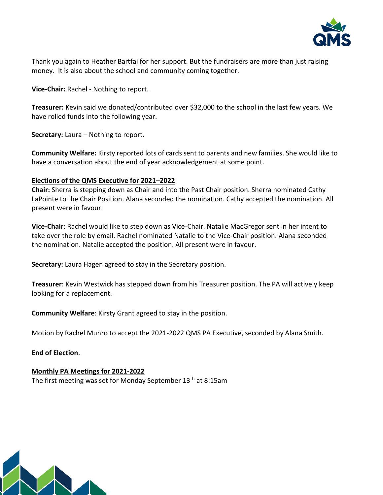

Thank you again to Heather Bartfai for her support. But the fundraisers are more than just raising money. It is also about the school and community coming together.

**Vice-Chair:** Rachel - Nothing to report.

**Treasurer:** Kevin said we donated/contributed over \$32,000 to the school in the last few years. We have rolled funds into the following year.

**Secretary:** Laura – Nothing to report.

**Community Welfare:** Kirsty reported lots of cards sent to parents and new families. She would like to have a conversation about the end of year acknowledgement at some point.

#### **Elections of the QMS Executive for 2021**–**2022**

**Chair:** Sherra is stepping down as Chair and into the Past Chair position. Sherra nominated Cathy LaPointe to the Chair Position. Alana seconded the nomination. Cathy accepted the nomination. All present were in favour.

**Vice-Chair**: Rachel would like to step down as Vice-Chair. Natalie MacGregor sent in her intent to take over the role by email. Rachel nominated Natalie to the Vice-Chair position. Alana seconded the nomination. Natalie accepted the position. All present were in favour.

**Secretary:** Laura Hagen agreed to stay in the Secretary position.

**Treasurer**: Kevin Westwick has stepped down from his Treasurer position. The PA will actively keep looking for a replacement.

**Community Welfare**: Kirsty Grant agreed to stay in the position.

Motion by Rachel Munro to accept the 2021-2022 QMS PA Executive, seconded by Alana Smith.

**End of Election**.

#### **Monthly PA Meetings for 2021-2022** The first meeting was set for Monday September  $13<sup>th</sup>$  at 8:15am